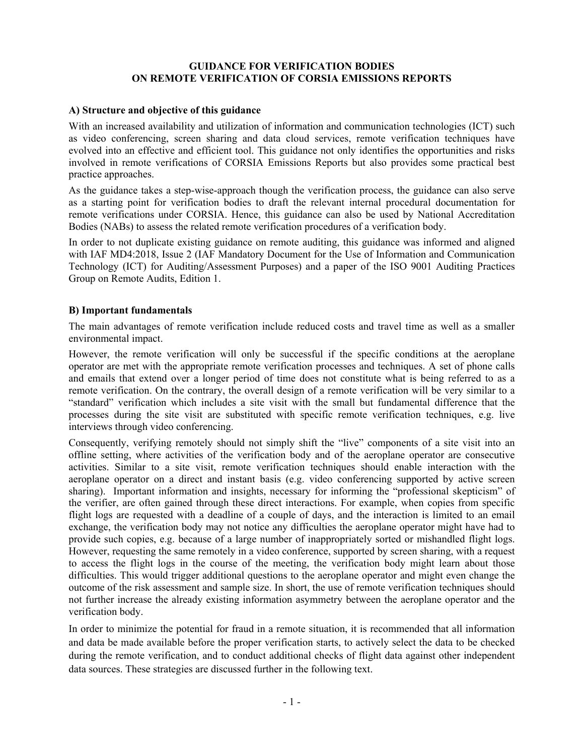### **GUIDANCE FOR VERIFICATION BODIES ON REMOTE VERIFICATION OF CORSIA EMISSIONS REPORTS**

### **A) Structure and objective of this guidance**

With an increased availability and utilization of information and communication technologies (ICT) such as video conferencing, screen sharing and data cloud services, remote verification techniques have evolved into an effective and efficient tool. This guidance not only identifies the opportunities and risks involved in remote verifications of CORSIA Emissions Reports but also provides some practical best practice approaches.

As the guidance takes a step-wise-approach though the verification process, the guidance can also serve as a starting point for verification bodies to draft the relevant internal procedural documentation for remote verifications under CORSIA. Hence, this guidance can also be used by National Accreditation Bodies (NABs) to assess the related remote verification procedures of a verification body.

In order to not duplicate existing guidance on remote auditing, this guidance was informed and aligned with IAF MD4:2018, Issue 2 (IAF Mandatory Document for the Use of Information and Communication Technology (ICT) for Auditing/Assessment Purposes) and a paper of the ISO 9001 Auditing Practices Group on Remote Audits, Edition 1.

### **B) Important fundamentals**

The main advantages of remote verification include reduced costs and travel time as well as a smaller environmental impact.

However, the remote verification will only be successful if the specific conditions at the aeroplane operator are met with the appropriate remote verification processes and techniques. A set of phone calls and emails that extend over a longer period of time does not constitute what is being referred to as a remote verification. On the contrary, the overall design of a remote verification will be very similar to a "standard" verification which includes a site visit with the small but fundamental difference that the processes during the site visit are substituted with specific remote verification techniques, e.g. live interviews through video conferencing.

Consequently, verifying remotely should not simply shift the "live" components of a site visit into an offline setting, where activities of the verification body and of the aeroplane operator are consecutive activities. Similar to a site visit, remote verification techniques should enable interaction with the aeroplane operator on a direct and instant basis (e.g. video conferencing supported by active screen sharing). Important information and insights, necessary for informing the "professional skepticism" of the verifier, are often gained through these direct interactions. For example, when copies from specific flight logs are requested with a deadline of a couple of days, and the interaction is limited to an email exchange, the verification body may not notice any difficulties the aeroplane operator might have had to provide such copies, e.g. because of a large number of inappropriately sorted or mishandled flight logs. However, requesting the same remotely in a video conference, supported by screen sharing, with a request to access the flight logs in the course of the meeting, the verification body might learn about those difficulties. This would trigger additional questions to the aeroplane operator and might even change the outcome of the risk assessment and sample size. In short, the use of remote verification techniques should not further increase the already existing information asymmetry between the aeroplane operator and the verification body.

In order to minimize the potential for fraud in a remote situation, it is recommended that all information and data be made available before the proper verification starts, to actively select the data to be checked during the remote verification, and to conduct additional checks of flight data against other independent data sources. These strategies are discussed further in the following text.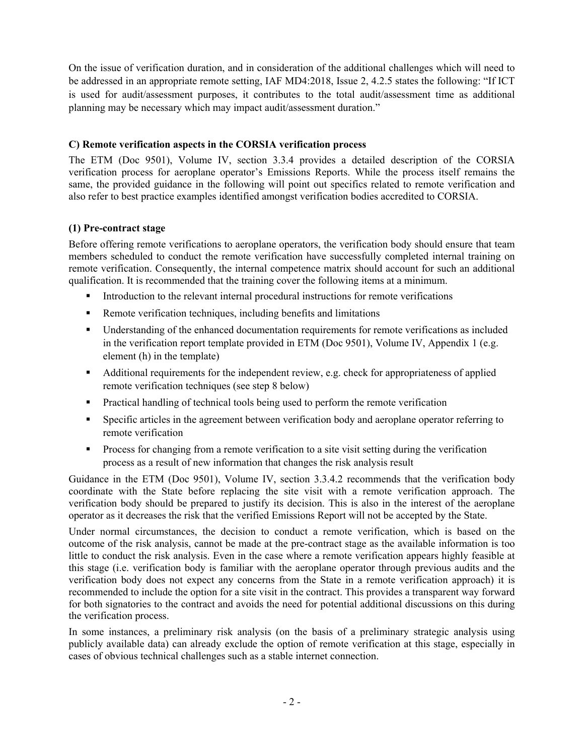On the issue of verification duration, and in consideration of the additional challenges which will need to be addressed in an appropriate remote setting, IAF MD4:2018, Issue 2, 4.2.5 states the following: "If ICT is used for audit/assessment purposes, it contributes to the total audit/assessment time as additional planning may be necessary which may impact audit/assessment duration."

# **C) Remote verification aspects in the CORSIA verification process**

The ETM (Doc 9501), Volume IV, section 3.3.4 provides a detailed description of the CORSIA verification process for aeroplane operator's Emissions Reports. While the process itself remains the same, the provided guidance in the following will point out specifics related to remote verification and also refer to best practice examples identified amongst verification bodies accredited to CORSIA.

## **(1) Pre-contract stage**

Before offering remote verifications to aeroplane operators, the verification body should ensure that team members scheduled to conduct the remote verification have successfully completed internal training on remote verification. Consequently, the internal competence matrix should account for such an additional qualification. It is recommended that the training cover the following items at a minimum.

- Introduction to the relevant internal procedural instructions for remote verifications
- Remote verification techniques, including benefits and limitations
- **Understanding of the enhanced documentation requirements for remote verifications as included** in the verification report template provided in ETM (Doc 9501), Volume IV, Appendix 1 (e.g. element (h) in the template)
- Additional requirements for the independent review, e.g. check for appropriateness of applied remote verification techniques (see step 8 below)
- Practical handling of technical tools being used to perform the remote verification
- **Specific articles in the agreement between verification body and aeroplane operator referring to** remote verification
- **Process for changing from a remote verification to a site visit setting during the verification** process as a result of new information that changes the risk analysis result

Guidance in the ETM (Doc 9501), Volume IV, section 3.3.4.2 recommends that the verification body coordinate with the State before replacing the site visit with a remote verification approach. The verification body should be prepared to justify its decision. This is also in the interest of the aeroplane operator as it decreases the risk that the verified Emissions Report will not be accepted by the State.

Under normal circumstances, the decision to conduct a remote verification, which is based on the outcome of the risk analysis, cannot be made at the pre-contract stage as the available information is too little to conduct the risk analysis. Even in the case where a remote verification appears highly feasible at this stage (i.e. verification body is familiar with the aeroplane operator through previous audits and the verification body does not expect any concerns from the State in a remote verification approach) it is recommended to include the option for a site visit in the contract. This provides a transparent way forward for both signatories to the contract and avoids the need for potential additional discussions on this during the verification process.

In some instances, a preliminary risk analysis (on the basis of a preliminary strategic analysis using publicly available data) can already exclude the option of remote verification at this stage, especially in cases of obvious technical challenges such as a stable internet connection.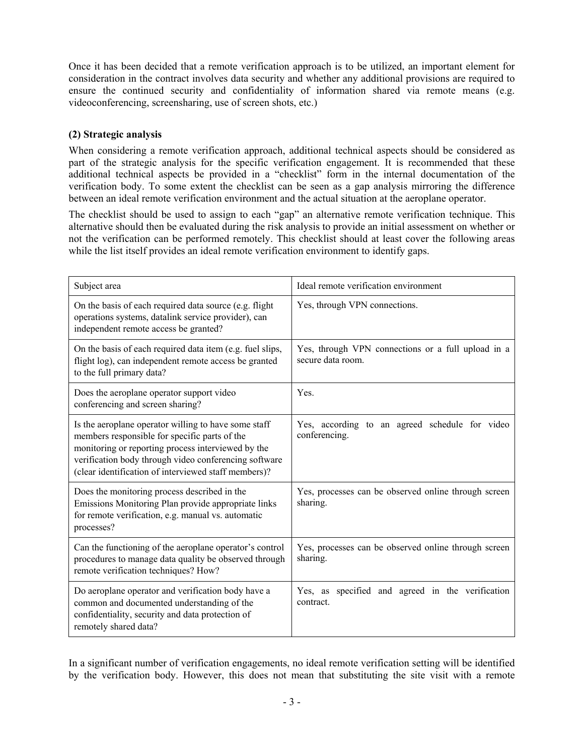Once it has been decided that a remote verification approach is to be utilized, an important element for consideration in the contract involves data security and whether any additional provisions are required to ensure the continued security and confidentiality of information shared via remote means (e.g. videoconferencing, screensharing, use of screen shots, etc.)

## **(2) Strategic analysis**

When considering a remote verification approach, additional technical aspects should be considered as part of the strategic analysis for the specific verification engagement. It is recommended that these additional technical aspects be provided in a "checklist" form in the internal documentation of the verification body. To some extent the checklist can be seen as a gap analysis mirroring the difference between an ideal remote verification environment and the actual situation at the aeroplane operator.

The checklist should be used to assign to each "gap" an alternative remote verification technique. This alternative should then be evaluated during the risk analysis to provide an initial assessment on whether or not the verification can be performed remotely. This checklist should at least cover the following areas while the list itself provides an ideal remote verification environment to identify gaps.

| Subject area                                                                                                                                                                                                                                                                 | Ideal remote verification environment                                   |
|------------------------------------------------------------------------------------------------------------------------------------------------------------------------------------------------------------------------------------------------------------------------------|-------------------------------------------------------------------------|
| On the basis of each required data source (e.g. flight<br>operations systems, datalink service provider), can<br>independent remote access be granted?                                                                                                                       | Yes, through VPN connections.                                           |
| On the basis of each required data item (e.g. fuel slips,<br>flight log), can independent remote access be granted<br>to the full primary data?                                                                                                                              | Yes, through VPN connections or a full upload in a<br>secure data room. |
| Does the aeroplane operator support video<br>conferencing and screen sharing?                                                                                                                                                                                                | Yes.                                                                    |
| Is the aeroplane operator willing to have some staff<br>members responsible for specific parts of the<br>monitoring or reporting process interviewed by the<br>verification body through video conferencing software<br>(clear identification of interviewed staff members)? | Yes, according to an agreed schedule for video<br>conferencing.         |
| Does the monitoring process described in the<br>Emissions Monitoring Plan provide appropriate links<br>for remote verification, e.g. manual vs. automatic<br>processes?                                                                                                      | Yes, processes can be observed online through screen<br>sharing.        |
| Can the functioning of the aeroplane operator's control<br>procedures to manage data quality be observed through<br>remote verification techniques? How?                                                                                                                     | Yes, processes can be observed online through screen<br>sharing.        |
| Do aeroplane operator and verification body have a<br>common and documented understanding of the<br>confidentiality, security and data protection of<br>remotely shared data?                                                                                                | Yes, as specified and agreed in the verification<br>contract.           |

In a significant number of verification engagements, no ideal remote verification setting will be identified by the verification body. However, this does not mean that substituting the site visit with a remote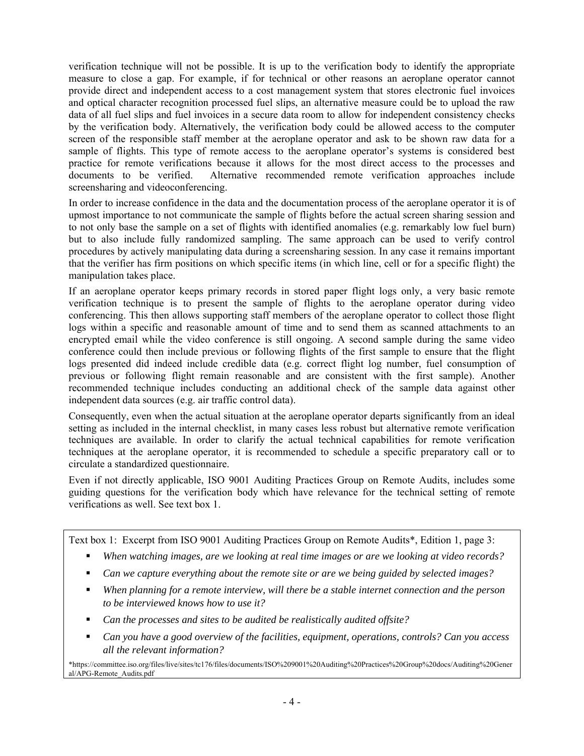verification technique will not be possible. It is up to the verification body to identify the appropriate measure to close a gap. For example, if for technical or other reasons an aeroplane operator cannot provide direct and independent access to a cost management system that stores electronic fuel invoices and optical character recognition processed fuel slips, an alternative measure could be to upload the raw data of all fuel slips and fuel invoices in a secure data room to allow for independent consistency checks by the verification body. Alternatively, the verification body could be allowed access to the computer screen of the responsible staff member at the aeroplane operator and ask to be shown raw data for a sample of flights. This type of remote access to the aeroplane operator's systems is considered best practice for remote verifications because it allows for the most direct access to the processes and documents to be verified. Alternative recommended remote verification approaches include screensharing and videoconferencing.

In order to increase confidence in the data and the documentation process of the aeroplane operator it is of upmost importance to not communicate the sample of flights before the actual screen sharing session and to not only base the sample on a set of flights with identified anomalies (e.g. remarkably low fuel burn) but to also include fully randomized sampling. The same approach can be used to verify control procedures by actively manipulating data during a screensharing session. In any case it remains important that the verifier has firm positions on which specific items (in which line, cell or for a specific flight) the manipulation takes place.

If an aeroplane operator keeps primary records in stored paper flight logs only, a very basic remote verification technique is to present the sample of flights to the aeroplane operator during video conferencing. This then allows supporting staff members of the aeroplane operator to collect those flight logs within a specific and reasonable amount of time and to send them as scanned attachments to an encrypted email while the video conference is still ongoing. A second sample during the same video conference could then include previous or following flights of the first sample to ensure that the flight logs presented did indeed include credible data (e.g. correct flight log number, fuel consumption of previous or following flight remain reasonable and are consistent with the first sample). Another recommended technique includes conducting an additional check of the sample data against other independent data sources (e.g. air traffic control data).

Consequently, even when the actual situation at the aeroplane operator departs significantly from an ideal setting as included in the internal checklist, in many cases less robust but alternative remote verification techniques are available. In order to clarify the actual technical capabilities for remote verification techniques at the aeroplane operator, it is recommended to schedule a specific preparatory call or to circulate a standardized questionnaire.

Even if not directly applicable, ISO 9001 Auditing Practices Group on Remote Audits, includes some guiding questions for the verification body which have relevance for the technical setting of remote verifications as well. See text box 1.

Text box 1: Excerpt from ISO 9001 Auditing Practices Group on Remote Audits\*, Edition 1, page 3:

- *When watching images, are we looking at real time images or are we looking at video records?*
- *Can we capture everything about the remote site or are we being guided by selected images?*
- *When planning for a remote interview, will there be a stable internet connection and the person to be interviewed knows how to use it?*
- *Can the processes and sites to be audited be realistically audited offsite?*
- *Can you have a good overview of the facilities, equipment, operations, controls? Can you access all the relevant information?*

\*https://committee.iso.org/files/live/sites/tc176/files/documents/ISO%209001%20Auditing%20Practices%20Group%20docs/Auditing%20Gener al/APG-Remote\_Audits.pdf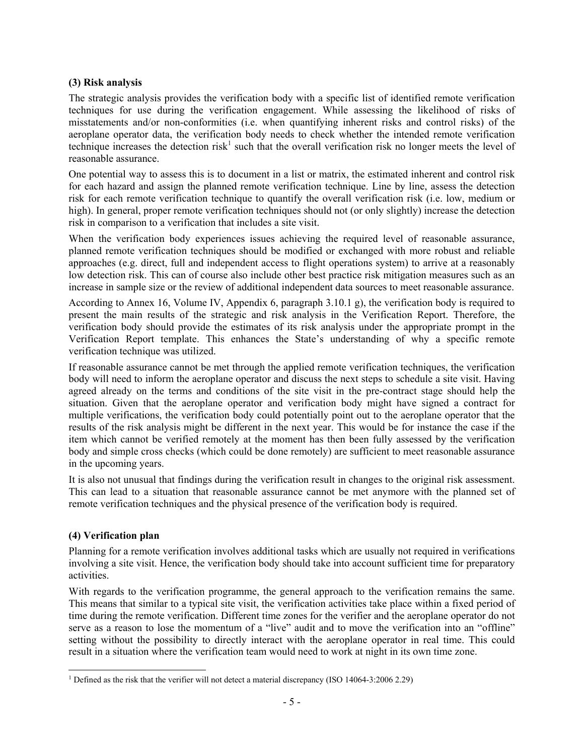### **(3) Risk analysis**

The strategic analysis provides the verification body with a specific list of identified remote verification techniques for use during the verification engagement. While assessing the likelihood of risks of misstatements and/or non-conformities (i.e. when quantifying inherent risks and control risks) of the aeroplane operator data, the verification body needs to check whether the intended remote verification technique increases the detection risk<sup>1</sup> such that the overall verification risk no longer meets the level of reasonable assurance.

One potential way to assess this is to document in a list or matrix, the estimated inherent and control risk for each hazard and assign the planned remote verification technique. Line by line, assess the detection risk for each remote verification technique to quantify the overall verification risk (i.e. low, medium or high). In general, proper remote verification techniques should not (or only slightly) increase the detection risk in comparison to a verification that includes a site visit.

When the verification body experiences issues achieving the required level of reasonable assurance, planned remote verification techniques should be modified or exchanged with more robust and reliable approaches (e.g. direct, full and independent access to flight operations system) to arrive at a reasonably low detection risk. This can of course also include other best practice risk mitigation measures such as an increase in sample size or the review of additional independent data sources to meet reasonable assurance.

According to Annex 16, Volume IV, Appendix 6, paragraph 3.10.1 g), the verification body is required to present the main results of the strategic and risk analysis in the Verification Report. Therefore, the verification body should provide the estimates of its risk analysis under the appropriate prompt in the Verification Report template. This enhances the State's understanding of why a specific remote verification technique was utilized.

If reasonable assurance cannot be met through the applied remote verification techniques, the verification body will need to inform the aeroplane operator and discuss the next steps to schedule a site visit. Having agreed already on the terms and conditions of the site visit in the pre-contract stage should help the situation. Given that the aeroplane operator and verification body might have signed a contract for multiple verifications, the verification body could potentially point out to the aeroplane operator that the results of the risk analysis might be different in the next year. This would be for instance the case if the item which cannot be verified remotely at the moment has then been fully assessed by the verification body and simple cross checks (which could be done remotely) are sufficient to meet reasonable assurance in the upcoming years.

It is also not unusual that findings during the verification result in changes to the original risk assessment. This can lead to a situation that reasonable assurance cannot be met anymore with the planned set of remote verification techniques and the physical presence of the verification body is required.

## **(4) Verification plan**

Planning for a remote verification involves additional tasks which are usually not required in verifications involving a site visit. Hence, the verification body should take into account sufficient time for preparatory activities.

With regards to the verification programme, the general approach to the verification remains the same. This means that similar to a typical site visit, the verification activities take place within a fixed period of time during the remote verification. Different time zones for the verifier and the aeroplane operator do not serve as a reason to lose the momentum of a "live" audit and to move the verification into an "offline" setting without the possibility to directly interact with the aeroplane operator in real time. This could result in a situation where the verification team would need to work at night in its own time zone.

<sup>1</sup> 1 Defined as the risk that the verifier will not detect a material discrepancy (ISO 14064-3:2006 2.29)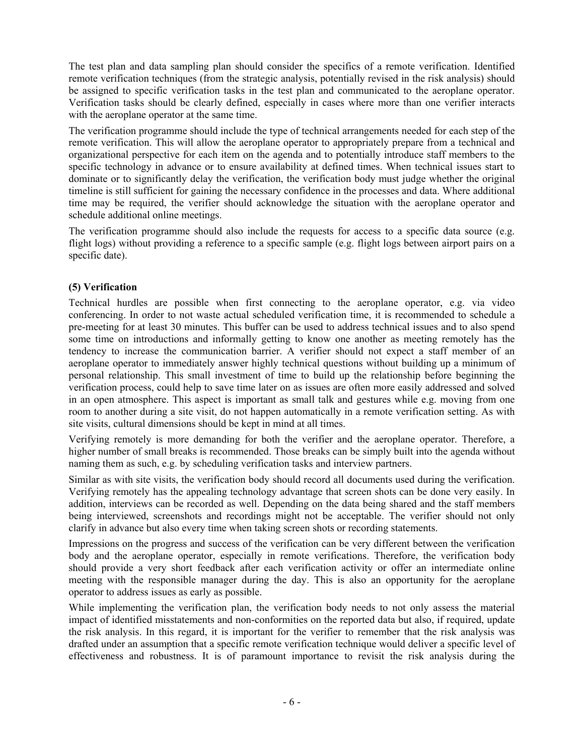The test plan and data sampling plan should consider the specifics of a remote verification. Identified remote verification techniques (from the strategic analysis, potentially revised in the risk analysis) should be assigned to specific verification tasks in the test plan and communicated to the aeroplane operator. Verification tasks should be clearly defined, especially in cases where more than one verifier interacts with the aeroplane operator at the same time.

The verification programme should include the type of technical arrangements needed for each step of the remote verification. This will allow the aeroplane operator to appropriately prepare from a technical and organizational perspective for each item on the agenda and to potentially introduce staff members to the specific technology in advance or to ensure availability at defined times. When technical issues start to dominate or to significantly delay the verification, the verification body must judge whether the original timeline is still sufficient for gaining the necessary confidence in the processes and data. Where additional time may be required, the verifier should acknowledge the situation with the aeroplane operator and schedule additional online meetings.

The verification programme should also include the requests for access to a specific data source (e.g. flight logs) without providing a reference to a specific sample (e.g. flight logs between airport pairs on a specific date).

# **(5) Verification**

Technical hurdles are possible when first connecting to the aeroplane operator, e.g. via video conferencing. In order to not waste actual scheduled verification time, it is recommended to schedule a pre-meeting for at least 30 minutes. This buffer can be used to address technical issues and to also spend some time on introductions and informally getting to know one another as meeting remotely has the tendency to increase the communication barrier. A verifier should not expect a staff member of an aeroplane operator to immediately answer highly technical questions without building up a minimum of personal relationship. This small investment of time to build up the relationship before beginning the verification process, could help to save time later on as issues are often more easily addressed and solved in an open atmosphere. This aspect is important as small talk and gestures while e.g. moving from one room to another during a site visit, do not happen automatically in a remote verification setting. As with site visits, cultural dimensions should be kept in mind at all times.

Verifying remotely is more demanding for both the verifier and the aeroplane operator. Therefore, a higher number of small breaks is recommended. Those breaks can be simply built into the agenda without naming them as such, e.g. by scheduling verification tasks and interview partners.

Similar as with site visits, the verification body should record all documents used during the verification. Verifying remotely has the appealing technology advantage that screen shots can be done very easily. In addition, interviews can be recorded as well. Depending on the data being shared and the staff members being interviewed, screenshots and recordings might not be acceptable. The verifier should not only clarify in advance but also every time when taking screen shots or recording statements.

Impressions on the progress and success of the verification can be very different between the verification body and the aeroplane operator, especially in remote verifications. Therefore, the verification body should provide a very short feedback after each verification activity or offer an intermediate online meeting with the responsible manager during the day. This is also an opportunity for the aeroplane operator to address issues as early as possible.

While implementing the verification plan, the verification body needs to not only assess the material impact of identified misstatements and non-conformities on the reported data but also, if required, update the risk analysis. In this regard, it is important for the verifier to remember that the risk analysis was drafted under an assumption that a specific remote verification technique would deliver a specific level of effectiveness and robustness. It is of paramount importance to revisit the risk analysis during the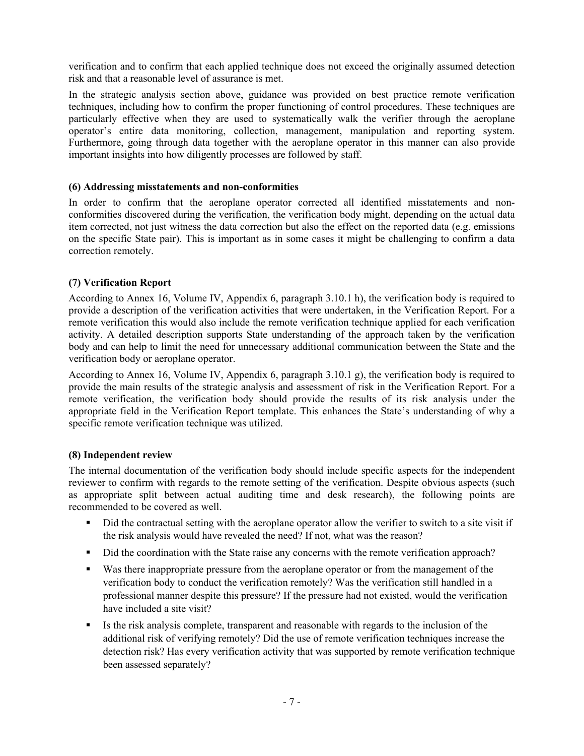verification and to confirm that each applied technique does not exceed the originally assumed detection risk and that a reasonable level of assurance is met.

In the strategic analysis section above, guidance was provided on best practice remote verification techniques, including how to confirm the proper functioning of control procedures. These techniques are particularly effective when they are used to systematically walk the verifier through the aeroplane operator's entire data monitoring, collection, management, manipulation and reporting system. Furthermore, going through data together with the aeroplane operator in this manner can also provide important insights into how diligently processes are followed by staff.

### **(6) Addressing misstatements and non-conformities**

In order to confirm that the aeroplane operator corrected all identified misstatements and nonconformities discovered during the verification, the verification body might, depending on the actual data item corrected, not just witness the data correction but also the effect on the reported data (e.g. emissions on the specific State pair). This is important as in some cases it might be challenging to confirm a data correction remotely.

### **(7) Verification Report**

According to Annex 16, Volume IV, Appendix 6, paragraph 3.10.1 h), the verification body is required to provide a description of the verification activities that were undertaken, in the Verification Report. For a remote verification this would also include the remote verification technique applied for each verification activity. A detailed description supports State understanding of the approach taken by the verification body and can help to limit the need for unnecessary additional communication between the State and the verification body or aeroplane operator.

According to Annex 16, Volume IV, Appendix 6, paragraph 3.10.1 g), the verification body is required to provide the main results of the strategic analysis and assessment of risk in the Verification Report. For a remote verification, the verification body should provide the results of its risk analysis under the appropriate field in the Verification Report template. This enhances the State's understanding of why a specific remote verification technique was utilized.

### **(8) Independent review**

The internal documentation of the verification body should include specific aspects for the independent reviewer to confirm with regards to the remote setting of the verification. Despite obvious aspects (such as appropriate split between actual auditing time and desk research), the following points are recommended to be covered as well.

- Did the contractual setting with the aeroplane operator allow the verifier to switch to a site visit if the risk analysis would have revealed the need? If not, what was the reason?
- Did the coordination with the State raise any concerns with the remote verification approach?
- Was there inappropriate pressure from the aeroplane operator or from the management of the verification body to conduct the verification remotely? Was the verification still handled in a professional manner despite this pressure? If the pressure had not existed, would the verification have included a site visit?
- If Its the risk analysis complete, transparent and reasonable with regards to the inclusion of the additional risk of verifying remotely? Did the use of remote verification techniques increase the detection risk? Has every verification activity that was supported by remote verification technique been assessed separately?